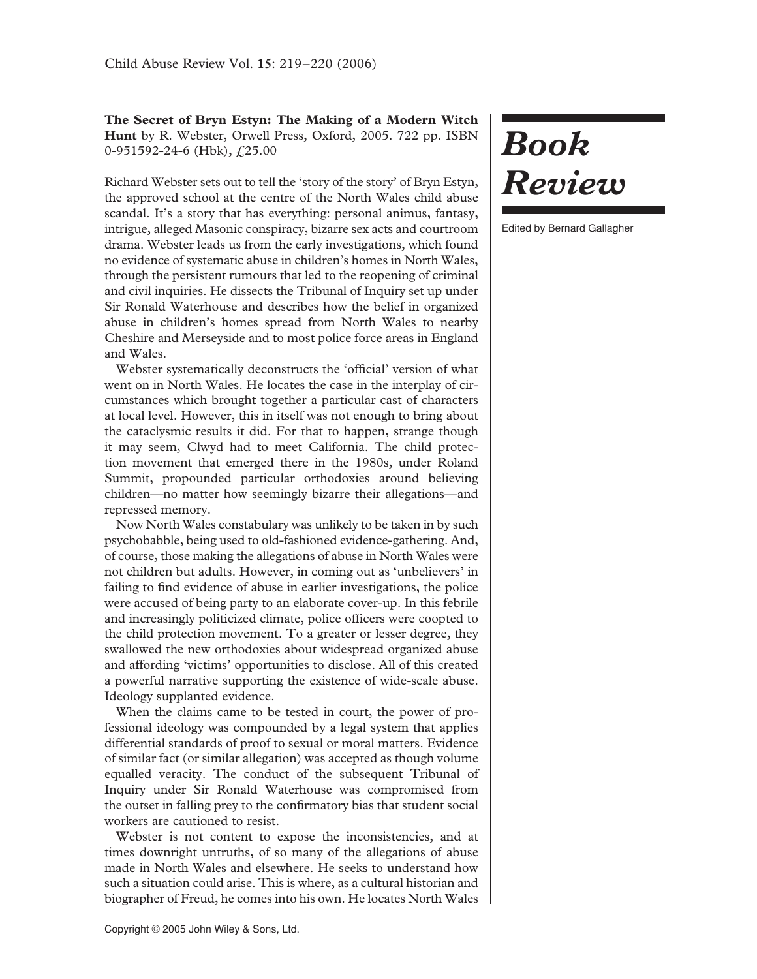**The Secret of Bryn Estyn: The Making of a Modern Witch Hunt** by R. Webster, Orwell Press, Oxford, 2005. 722 pp. ISBN 0-951592-24-6 (Hbk), £25.00

Richard Webster sets out to tell the 'story of the story' of Bryn Estyn, the approved school at the centre of the North Wales child abuse scandal. It's a story that has everything: personal animus, fantasy, intrigue, alleged Masonic conspiracy, bizarre sex acts and courtroom drama. Webster leads us from the early investigations, which found no evidence of systematic abuse in children's homes in North Wales, through the persistent rumours that led to the reopening of criminal and civil inquiries. He dissects the Tribunal of Inquiry set up under Sir Ronald Waterhouse and describes how the belief in organized abuse in children's homes spread from North Wales to nearby Cheshire and Merseyside and to most police force areas in England and Wales.

Webster systematically deconstructs the 'official' version of what went on in North Wales. He locates the case in the interplay of circumstances which brought together a particular cast of characters at local level. However, this in itself was not enough to bring about the cataclysmic results it did. For that to happen, strange though it may seem, Clwyd had to meet California. The child protection movement that emerged there in the 1980s, under Roland Summit, propounded particular orthodoxies around believing children—no matter how seemingly bizarre their allegations—and repressed memory.

Now North Wales constabulary was unlikely to be taken in by such psychobabble, being used to old-fashioned evidence-gathering. And, of course, those making the allegations of abuse in North Wales were not children but adults. However, in coming out as 'unbelievers' in failing to find evidence of abuse in earlier investigations, the police were accused of being party to an elaborate cover-up. In this febrile and increasingly politicized climate, police officers were coopted to the child protection movement. To a greater or lesser degree, they swallowed the new orthodoxies about widespread organized abuse and affording 'victims' opportunities to disclose. All of this created a powerful narrative supporting the existence of wide-scale abuse. Ideology supplanted evidence.

When the claims came to be tested in court, the power of professional ideology was compounded by a legal system that applies differential standards of proof to sexual or moral matters. Evidence of similar fact (or similar allegation) was accepted as though volume equalled veracity. The conduct of the subsequent Tribunal of Inquiry under Sir Ronald Waterhouse was compromised from the outset in falling prey to the confirmatory bias that student social workers are cautioned to resist.

Webster is not content to expose the inconsistencies, and at times downright untruths, of so many of the allegations of abuse made in North Wales and elsewhere. He seeks to understand how such a situation could arise. This is where, as a cultural historian and biographer of Freud, he comes into his own. He locates North Wales

## *Book Review*

Edited by Bernard Gallagher